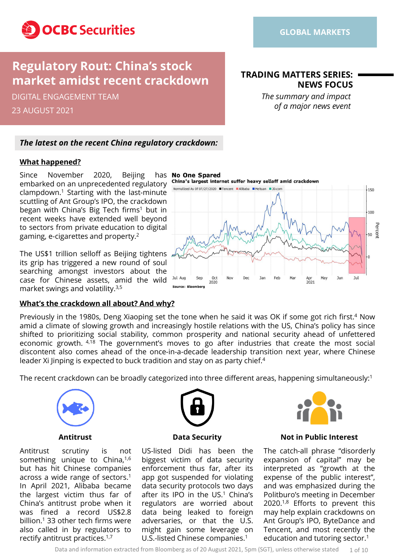

# **Regulatory Rout: China's stock market amidst recent crackdown**

23 AUGUST 2021 DIGITAL ENGAGEMENT TEAM

### **TRADING MATTERS SERIES: NEWS FOCUS**

*The summary and impact of a major news event*

### *The latest on the recent China regulatory crackdown:*

#### **What happened?**

Since November 2020, Beijing has No One Spared embarked on an unprecedented regulatory clampdown. <sup>1</sup> Starting with the last-minute scuttling of Ant Group's IPO, the crackdown began with China's Big Tech firms<sup>1</sup> but in recent weeks have extended well beyond to sectors from private education to digital gaming, e-cigarettes and property. 2

The US\$1 trillion selloff as Beijing tightens, its grip has triggered a new round of soul searching amongst investors about the case for Chinese assets, amid the wild market swings and volatility. 3,5

### **What's the crackdown all about? And why?**

Previously in the 1980s, Deng Xiaoping set the tone when he said it was OK if some got rich first.<sup>4</sup> Now amid a climate of slowing growth and increasingly hostile relations with the US, China's policy has since shifted to prioritizing social stability, common prosperity and national security ahead of unfettered economic growth. <sup>4,18</sup> The government's moves to go after industries that create the most social discontent also comes ahead of the once-in-a-decade leadership transition next year, where Chinese leader Xi Jinping is expected to buck tradition and stay on as party chief. 4

The recent crackdown can be broadly categorized into three different areas, happening simultaneously: 1



Antitrust scrutiny is not something unique to China,<sup>1,6</sup> but has hit Chinese companies across a wide range of sectors. 1 In April 2021, Alibaba became the largest victim thus far of China's antitrust probe when it was fined a record US\$2.8 billion. <sup>1</sup> 33 other tech firms were also called in by regulators to rectify antitrust practices. 1,7



US-listed Didi has been the biggest victim of data security enforcement thus far, after its app got suspended for violating data security protocols two days after its IPO in the US. <sup>1</sup> China's regulators are worried about data being leaked to foreign adversaries, or that the U.S. might gain some leverage on U.S.-listed Chinese companies. 1



#### **Antitrust Data Security Not in Public Interest**

The catch-all phrase "disorderly expansion of capital" may be interpreted as "growth at the expense of the public interest", and was emphasized during the Politburo's meeting in December 2020. 1,8 Efforts to prevent this may help explain crackdowns on Ant Group's IPO, ByteDance and Tencent, and most recently the education and tutoring sector. 1

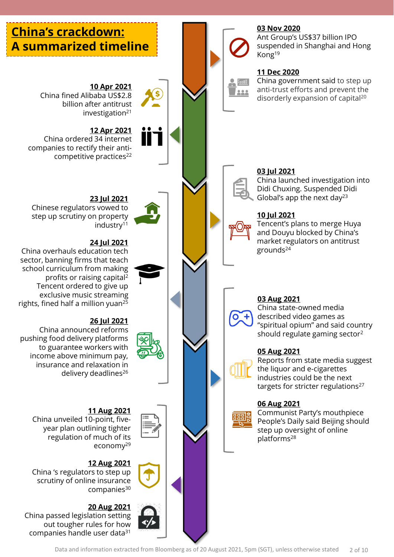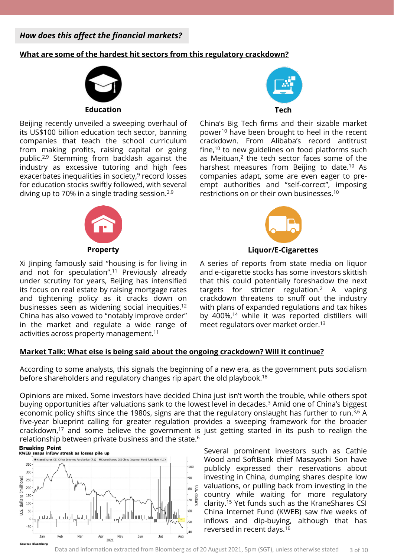*How does this affect the financial markets?*

#### **What are some of the hardest hit sectors from this regulatory crackdown?**



Beijing recently unveiled a sweeping overhaul of its US\$100 billion education tech sector, banning companies that teach the school curriculum from making profits, raising capital or going public. 2,9 Stemming from backlash against the industry as excessive tutoring and high fees exacerbates inequalities in society,<sup>9</sup> record losses for education stocks swiftly followed, with several diving up to 70% in a single trading session.<sup>2,9</sup>



Xi Jinping famously said "housing is for living in and not for speculation". <sup>11</sup> Previously already under scrutiny for years, Beijing has intensified its focus on real estate by raising mortgage rates and tightening policy as it cracks down on businesses seen as widening social inequities. 12 China has also vowed to "notably improve order" in the market and regulate a wide range of activities across property management. 11



China's Big Tech firms and their sizable market power<sup>10</sup> have been brought to heel in the recent crackdown. From Alibaba's record antitrust fine,<sup>10</sup> to new guidelines on food platforms such as Meituan,<sup>2</sup> the tech sector faces some of the harshest measures from Beijing to date. <sup>10</sup> As companies adapt, some are even eager to preempt authorities and "self-correct", imposing restrictions on or their own businesses. 10



**Property Liquor/E-Cigarettes**

A series of reports from state media on liquor and e-cigarette stocks has some investors skittish that this could potentially foreshadow the next targets for stricter regulation. <sup>2</sup> A vaping crackdown threatens to snuff out the industry with plans of expanded regulations and tax hikes by 400%, <sup>14</sup> while it was reported distillers will meet regulators over market order. 13

#### **Market Talk: What else is being said about the ongoing crackdown? Will it continue?**

According to some analysts, this signals the beginning of a new era, as the government puts socialism before shareholders and regulatory changes rip apart the old playbook. 18

Opinions are mixed. Some investors have decided China just isn't worth the trouble, while others spot buying opportunities after valuations sank to the lowest level in decades. <sup>3</sup> Amid one of China's biggest economic policy shifts since the 1980s, signs are that the regulatory onslaught has further to run.<sup>3,6</sup> A five-year blueprint calling for greater regulation provides a sweeping framework for the broader crackdown,<sup>17</sup> and some believe the government is just getting started in its push to realign the relationship between private business and the state. 6

**Breaking Point** 



Several prominent investors such as Cathie Wood and SoftBank chief Masayoshi Son have publicly expressed their reservations about investing in China, dumping shares despite low valuations, or pulling back from investing in the country while waiting for more regulatory clarity. <sup>15</sup> Yet funds such as the KraneShares CSI China Internet Fund (KWEB) saw five weeks of inflows and dip-buying, although that has reversed in recent days. 16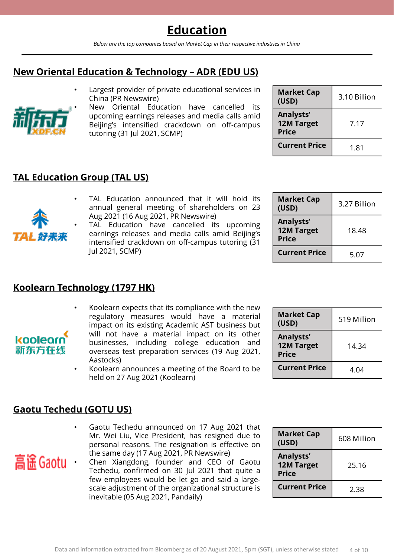*Below are the top companies based on Market Cap in their respective industries in China*

## **New Oriental Education & Technology – ADR (EDU US)**

Largest provider of private educational services in China (PR Newswire)



kooleorn 新东方在线

高谣 Gaotu

• New Oriental Education have cancelled its upcoming earnings releases and media calls amid Beijing's intensified crackdown on off-campus tutoring (31 Jul 2021, SCMP)

| <b>Market Cap</b><br>(USD)                     | 3.10 Billion |
|------------------------------------------------|--------------|
| Analysts'<br><b>12M Target</b><br><b>Price</b> | 7.17         |
| <b>Current Price</b>                           | 1.81         |

## **TAL Education Group (TAL US)**

- TAL Education announced that it will hold its annual general meeting of shareholders on 23 Aug 2021 (16 Aug 2021, PR Newswire)
- TAL Education have cancelled its upcoming earnings releases and media calls amid Beijing's intensified crackdown on off-campus tutoring (31 Jul 2021, SCMP)

| <b>Market Cap</b><br>(USD)                     | 3.27 Billion |
|------------------------------------------------|--------------|
| Analysts'<br><b>12M Target</b><br><b>Price</b> | 18.48        |
| <b>Current Price</b>                           | 5.07         |

## **Koolearn Technology (1797 HK)**

- Koolearn expects that its compliance with the new regulatory measures would have a material impact on its existing Academic AST business but will not have a material impact on its other businesses, including college education and overseas test preparation services (19 Aug 2021, Aastocks)
- Koolearn announces a meeting of the Board to be held on 27 Aug 2021 (Koolearn)

### **Gaotu Techedu (GOTU US)**

- Gaotu Techedu announced on 17 Aug 2021 that Mr. Wei Liu, Vice President, has resigned due to personal reasons. The resignation is effective on the same day (17 Aug 2021, PR Newswire)
- Chen Xiangdong, founder and CEO of Gaotu Techedu, confirmed on 30 Jul 2021 that quite a few employees would be let go and said a largescale adjustment of the organizational structure is inevitable (05 Aug 2021, Pandaily)

| Analysts'<br><b>12M Target</b><br><b>Price</b> | 14.34 |
|------------------------------------------------|-------|
| <b>Current Price</b>                           | 4.04  |
|                                                |       |

**(USD)** 519 Million

**Market Cap** 

| <b>Market Cap</b><br>(USD)                     | 608 Million |
|------------------------------------------------|-------------|
| Analysts'<br><b>12M Target</b><br><b>Price</b> | 25.16       |
| <b>Current Price</b>                           | 2.38        |

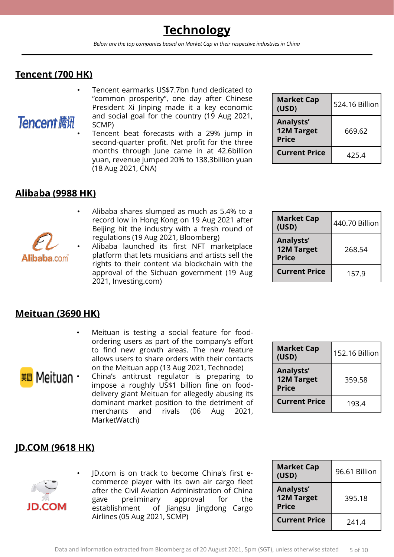# **Technology**

*Below are the top companies based on Market Cap in their respective industries in China*

## **Tencent (700 HK)**

- Tencent earmarks US\$7.7bn fund dedicated to "common prosperity", one day after Chinese President Xi Jinping made it a key economic and social goal for the country (19 Aug 2021, **Tencent 腾讯** SCMP)
	- Tencent beat forecasts with a 29% jump in second-quarter profit. Net profit for the three months through June came in at 42.6billion yuan, revenue jumped 20% to 138.3billion yuan (18 Aug 2021, CNA)

| <b>Market Cap</b><br>(USD)                     | 524.16 Billion |
|------------------------------------------------|----------------|
| Analysts'<br><b>12M Target</b><br><b>Price</b> | 669.62         |
| <b>Current Price</b>                           | 425.4          |

| <b>Market Cap</b><br>(USD)                     | 440.70 Billion |
|------------------------------------------------|----------------|
| Analysts'<br><b>12M Target</b><br><b>Price</b> | 268.54         |
| <b>Current Price</b>                           | 157.9          |

### **Alibaba (9988 HK)**

- Alibaba shares slumped as much as 5.4% to a record low in Hong Kong on 19 Aug 2021 after Beijing hit the industry with a fresh round of regulations (19 Aug 2021, Bloomberg)
- Alibaba launched its first NFT marketplace platform that lets musicians and artists sell the **Alibaba** com
	- rights to their content via blockchain with the approval of the Sichuan government (19 Aug 2021, Investing.com)

## **Meituan (3690 HK)**

- Meituan is testing a social feature for foodordering users as part of the company's effort to find new growth areas. The new feature allows users to share orders with their contacts on the Meituan app (13 Aug 2021, Technode)
- **Meituan** China's antitrust regulator is preparing to impose a roughly US\$1 billion fine on fooddelivery giant Meituan for allegedly abusing its dominant market position to the detriment of merchants and rivals (06 Aug 2021, MarketWatch)

| <b>Market Cap</b><br>(USD)                     | 152.16 Billion |
|------------------------------------------------|----------------|
| Analysts'<br><b>12M Target</b><br><b>Price</b> | 359.58         |
| <b>Current Price</b>                           | 193.4          |

## **JD.COM (9618 HK)**



• JD.com is on track to become China's first ecommerce player with its own air cargo fleet after the Civil Aviation Administration of China gave preliminary approval for the establishment of Jiangsu Jingdong Cargo Airlines (05 Aug 2021, SCMP)

| <b>Market Cap</b><br>(USD)                     | 96.61 Billion |
|------------------------------------------------|---------------|
| Analysts'<br><b>12M Target</b><br><b>Price</b> | 395.18        |
| <b>Current Price</b>                           | 241.4         |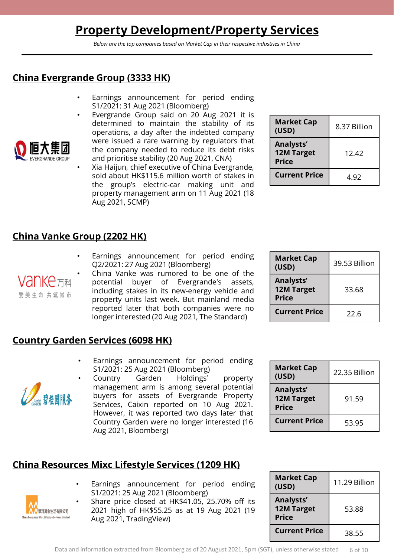# **Property Development/Property Services**

*Below are the top companies based on Market Cap in their respective industries in China*

## **China Evergrande Group (3333 HK)**

- Earnings announcement for period ending S1/2021: 31 Aug 2021 (Bloomberg)
- Evergrande Group said on 20 Aug 2021 it is determined to maintain the stability of its operations, a day after the indebted company were issued a rare warning by regulators that the company needed to reduce its debt risks and prioritise stability (20 Aug 2021, CNA)
- Xia Haijun, chief executive of China Evergrande, sold about HK\$115.6 million worth of stakes in the group's electric-car making unit and property management arm on 11 Aug 2021 (18 Aug 2021, SCMP)

| <b>Market Cap</b><br>(USD)                     | 8.37 Billion |
|------------------------------------------------|--------------|
| Analysts'<br><b>12M Target</b><br><b>Price</b> | 12.42        |
| <b>Current Price</b>                           | 4.92         |

### **China Vanke Group (2202 HK)**

• Earnings announcement for period ending Q2/2021: 27 Aug 2021 (Bloomberg)



**ERGRANDE GROUP** 

• China Vanke was rumored to be one of the potential buyer of Evergrande's assets, including stakes in its new-energy vehicle and property units last week. But mainland media reported later that both companies were no longer interested (20 Aug 2021, The Standard)

| <b>Market Cap</b><br>(USD)                     | 39.53 Billion |
|------------------------------------------------|---------------|
| Analysts'<br><b>12M Target</b><br><b>Price</b> | 33.68         |
| <b>Current Price</b>                           | 22.6          |

## **Country Garden Services (6098 HK)**

• Earnings announcement for period ending S1/2021: 25 Aug 2021 (Bloomberg)



• Country Garden Holdings' property management arm is among several potential buyers for assets of Evergrande Property Services, Caixin reported on 10 Aug 2021. However, it was reported two days later that Country Garden were no longer interested (16 Aug 2021, Bloomberg)

## **China Resources Mixc Lifestyle Services (1209 HK)**

- Earnings announcement for period ending S1/2021: 25 Aug 2021 (Bloomberg)
- Share price closed at HK\$41.05, 25.70% off its 2021 high of HK\$55.25 as at 19 Aug 2021 (19 Aug 2021, TradingView)

| <b>Market Cap</b><br>(USD)                     | 22.35 Billion |
|------------------------------------------------|---------------|
| Analysts'<br><b>12M Target</b><br><b>Price</b> | 91.59         |
| <b>Current Price</b>                           | 53.95         |

| <b>Market Cap</b><br>(USD)                     | 11.29 Billion |
|------------------------------------------------|---------------|
| Analysts'<br><b>12M Target</b><br><b>Price</b> | 53.88         |
| <b>Current Price</b>                           | 38.55         |



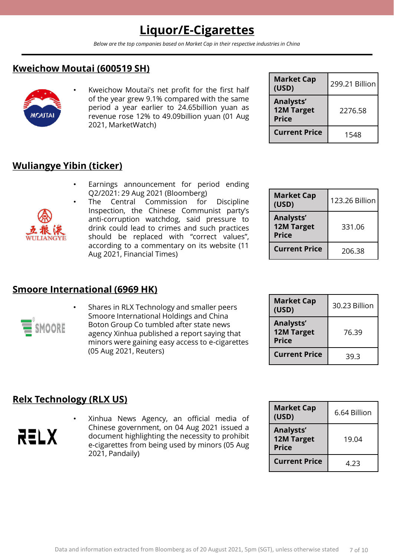# **Liquor/E-Cigarettes**

*Below are the top companies based on Market Cap in their respective industries in China*

## **Kweichow Moutai (600519 SH)**



Kweichow Moutai's net profit for the first half of the year grew 9.1% compared with the same period a year earlier to 24.65billion yuan as revenue rose 12% to 49.09billion yuan (01 Aug 2021, MarketWatch)

| <b>Market Cap</b><br>(USD)                            | 299.21 Billion |
|-------------------------------------------------------|----------------|
| <b>Analysts'</b><br><b>12M Target</b><br><b>Price</b> | 2276.58        |
| <b>Current Price</b>                                  | 1548           |

## **Wuliangye Yibin (ticker)**

Earnings announcement for period ending Q2/2021: 29 Aug 2021 (Bloomberg)



 $\mathsf{\Xi}$  smoore

The Central Commission for Discipline Inspection, the Chinese Communist party's anti-corruption watchdog, said pressure to drink could lead to crimes and such practices should be replaced with "correct values", according to a commentary on its website (11 Aug 2021, Financial Times)

• Shares in RLX Technology and smaller peers Smoore International Holdings and China Boton Group Co tumbled after state news agency Xinhua published a report saying that minors were gaining easy access to e-cigarettes

| <b>Market Cap</b><br>(USD)                     | 123.26 Billion |
|------------------------------------------------|----------------|
| Analysts'<br><b>12M Target</b><br><b>Price</b> | 331.06         |
| <b>Current Price</b>                           | 206.38         |

| <b>Market Cap</b><br>(USD)                     | 30.23 Billion |
|------------------------------------------------|---------------|
| Analysts'<br><b>12M Target</b><br><b>Price</b> | 76.39         |
| <b>Current Price</b>                           | 39.3          |

## **Relx Technology (RLX US)**

**Smoore International (6969 HK)**

RELX

• Xinhua News Agency, an official media of Chinese government, on 04 Aug 2021 issued a document highlighting the necessity to prohibit e-cigarettes from being used by minors (05 Aug 2021, Pandaily)

| <b>Market Cap</b><br>(USD)                     | 6.64 Billion |
|------------------------------------------------|--------------|
| Analysts'<br><b>12M Target</b><br><b>Price</b> | 19.04        |
| <b>Current Price</b>                           | 4.23         |



(05 Aug 2021, Reuters)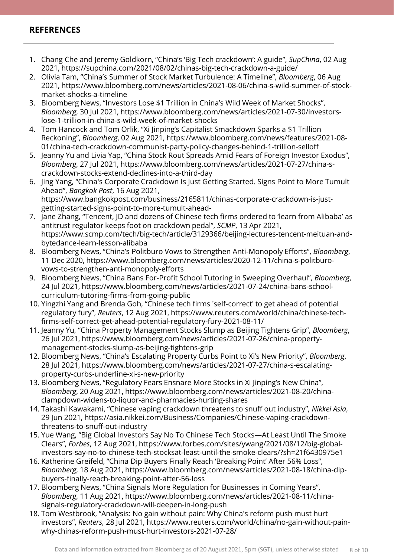### **REFERENCES**

- 1. Chang Che and Jeremy Goldkorn, "China's 'Big Tech crackdown': A guide", *SupChina*, 02 Aug 2021, https://supchina.com/2021/08/02/chinas-big-tech-crackdown-a-guide/
- 2. Olivia Tam, "China's Summer of Stock Market Turbulence: A Timeline", *Bloomberg*, 06 Aug 2021, https://www.bloomberg.com/news/articles/2021-08-06/china-s-wild-summer-of-stockmarket-shocks-a-timeline
- 3. Bloomberg News, "Investors Lose \$1 Trillion in China's Wild Week of Market Shocks", *Bloomberg*, 30 Jul 2021, https://www.bloomberg.com/news/articles/2021-07-30/investorslose-1-trillion-in-china-s-wild-week-of-market-shocks
- 4. Tom Hancock and Tom Orlik, "Xi Jinping's Capitalist Smackdown Sparks a \$1 Trillion Reckoning", *Bloomberg*, 02 Aug 2021, https://www.bloomberg.com/news/features/2021-08- 01/china-tech-crackdown-communist-party-policy-changes-behind-1-trillion-selloff
- 5. Jeanny Yu and Livia Yap, "China Stock Rout Spreads Amid Fears of Foreign Investor Exodus", *Bloomberg*, 27 Jul 2021, https://www.bloomberg.com/news/articles/2021-07-27/china-scrackdown-stocks-extend-declines-into-a-third-day
- 6. Jing Yang, "China's Corporate Crackdown Is Just Getting Started. Signs Point to More Tumult Ahead", *Bangkok Post*, 16 Aug 2021, https://www.bangkokpost.com/business/2165811/chinas-corporate-crackdown-is-justgetting-started-signs-point-to-more-tumult-ahead-
- 7. Jane Zhang, "Tencent, JD and dozens of Chinese tech firms ordered to 'learn from Alibaba' as antitrust regulator keeps foot on crackdown pedal", *SCMP*, 13 Apr 2021, https://www.scmp.com/tech/big-tech/article/3129366/beijing-lectures-tencent-meituan-andbytedance-learn-lesson-alibaba
- 8. Bloomberg News, "China's Politburo Vows to Strengthen Anti-Monopoly Efforts", *Bloomberg*, 11 Dec 2020, https://www.bloomberg.com/news/articles/2020-12-11/china-s-politburovows-to-strengthen-anti-monopoly-efforts
- 9. Bloomberg News, "China Bans For-Profit School Tutoring in Sweeping Overhaul", *Bloomberg*, 24 Jul 2021, https://www.bloomberg.com/news/articles/2021-07-24/china-bans-schoolcurriculum-tutoring-firms-from-going-public
- 10. Yingzhi Yang and Brenda Goh, "Chinese tech firms 'self-correct' to get ahead of potential regulatory fury", *Reuters*, 12 Aug 2021, https://www.reuters.com/world/china/chinese-techfirms-self-correct-get-ahead-potential-regulatory-fury-2021-08-11/
- 11. Jeanny Yu, "China Property Management Stocks Slump as Beijing Tightens Grip", *Bloomberg*, 26 Jul 2021, https://www.bloomberg.com/news/articles/2021-07-26/china-propertymanagement-stocks-slump-as-beijing-tightens-grip
- 12. Bloomberg News, "China's Escalating Property Curbs Point to Xi's New Priority", *Bloomberg*, 28 Jul 2021, https://www.bloomberg.com/news/articles/2021-07-27/china-s-escalatingproperty-curbs-underline-xi-s-new-priority
- 13. Bloomberg News, "Regulatory Fears Ensnare More Stocks in Xi Jinping's New China", *Bloomberg*, 20 Aug 2021, https://www.bloomberg.com/news/articles/2021-08-20/chinaclampdown-widens-to-liquor-and-pharmacies-hurting-shares
- 14. Takashi Kawakami, "Chinese vaping crackdown threatens to snuff out industry", *Nikkei Asia*, 29 Jun 2021, https://asia.nikkei.com/Business/Companies/Chinese-vaping-crackdownthreatens-to-snuff-out-industry
- 15. Yue Wang, "Big Global Investors Say No To Chinese Tech Stocks—At Least Until The Smoke Clears", *Forbes*, 12 Aug 2021, https://www.forbes.com/sites/ywang/2021/08/12/big-globalinvestors-say-no-to-chinese-tech-stocksat-least-until-the-smoke-clears/?sh=21f6430975e1
- 16. Katherine Greifeld, "China Dip Buyers Finally Reach 'Breaking Point' After 56% Loss", *Bloomberg*, 18 Aug 2021, https://www.bloomberg.com/news/articles/2021-08-18/china-dipbuyers-finally-reach-breaking-point-after-56-loss
- 17. Bloomberg News, "China Signals More Regulation for Businesses in Coming Years", *Bloomberg*, 11 Aug 2021, https://www.bloomberg.com/news/articles/2021-08-11/chinasignals-regulatory-crackdown-will-deepen-in-long-push
- 18. Tom Westbrook, "Analysis: No gain without pain: Why China's reform push must hurt investors", *Reuters*, 28 Jul 2021, https://www.reuters.com/world/china/no-gain-without-painwhy-chinas-reform-push-must-hurt-investors-2021-07-28/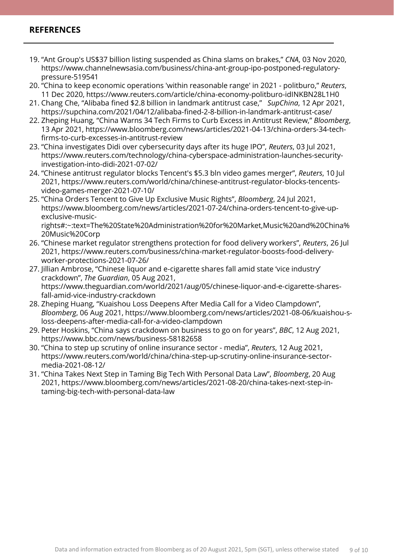### **REFERENCES**

- 19. "Ant Group's US\$37 billion listing suspended as China slams on brakes," *CNA*, 03 Nov 2020, https://www.channelnewsasia.com/business/china-ant-group-ipo-postponed-regulatorypressure-519541
- 20. "China to keep economic operations 'within reasonable range' in 2021 politburo," *Reuters*, 11 Dec 2020, https://www.reuters.com/article/china-economy-politburo-idINKBN28L1H0
- 21. Chang Che, "Alibaba fined \$2.8 billion in landmark antitrust case," *SupChina*, 12 Apr 2021, https://supchina.com/2021/04/12/alibaba-fined-2-8-billion-in-landmark-antitrust-case/
- 22. Zheping Huang, "China Warns 34 Tech Firms to Curb Excess in Antitrust Review," *Bloomberg*, 13 Apr 2021, https://www.bloomberg.com/news/articles/2021-04-13/china-orders-34-techfirms-to-curb-excesses-in-antitrust-review
- 23. "China investigates Didi over cybersecurity days after its huge IPO", *Reuters*, 03 Jul 2021, https://www.reuters.com/technology/china-cyberspace-administration-launches-securityinvestigation-into-didi-2021-07-02/
- 24. "Chinese antitrust regulator blocks Tencent's \$5.3 bln video games merger", *Reuters*, 10 Jul 2021, https://www.reuters.com/world/china/chinese-antitrust-regulator-blocks-tencentsvideo-games-merger-2021-07-10/
- 25. "China Orders Tencent to Give Up Exclusive Music Rights", *Bloomberg*, 24 Jul 2021, https://www.bloomberg.com/news/articles/2021-07-24/china-orders-tencent-to-give-upexclusive-musicrights#:~:text=The%20State%20Administration%20for%20Market,Music%20and%20China%

20Music%20Corp

- 26. "Chinese market regulator strengthens protection for food delivery workers", *Reuters*, 26 Jul 2021, https://www.reuters.com/business/china-market-regulator-boosts-food-deliveryworker-protections-2021-07-26/
- 27. Jillian Ambrose, "Chinese liquor and e-cigarette shares fall amid state 'vice industry' crackdown", *The Guardian*, 05 Aug 2021, https://www.theguardian.com/world/2021/aug/05/chinese-liquor-and-e-cigarette-sharesfall-amid-vice-industry-crackdown
- 28. Zheping Huang, "Kuaishou Loss Deepens After Media Call for a Video Clampdown", *Bloomberg*, 06 Aug 2021, https://www.bloomberg.com/news/articles/2021-08-06/kuaishou-sloss-deepens-after-media-call-for-a-video-clampdown
- 29. Peter Hoskins, "China says crackdown on business to go on for years", *BBC*, 12 Aug 2021, https://www.bbc.com/news/business-58182658
- 30. "China to step up scrutiny of online insurance sector media", *Reuters*, 12 Aug 2021, https://www.reuters.com/world/china/china-step-up-scrutiny-online-insurance-sectormedia-2021-08-12/
- 31. "China Takes Next Step in Taming Big Tech With Personal Data Law", *Bloomberg*, 20 Aug 2021, https://www.bloomberg.com/news/articles/2021-08-20/china-takes-next-step-intaming-big-tech-with-personal-data-law